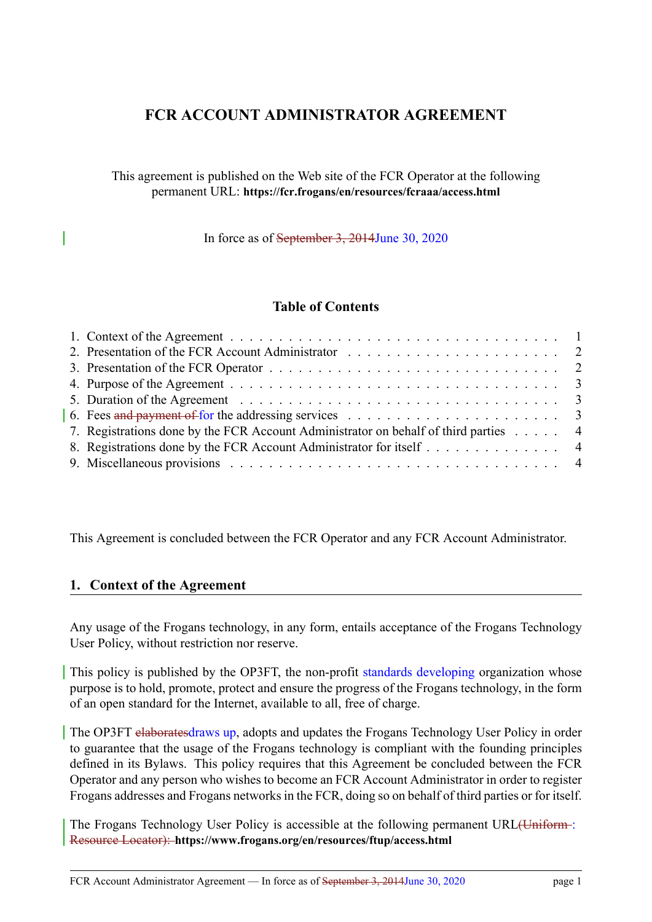# **FCR ACCOUNT ADMINISTRATOR AGREEMENT**

This agreement is published on the Web site of the FCR Operator at the following permanent URL: **https://fcr.frogans/en/resources/fcraaa/access.html**

In force as of September 3, [2014June 30, 2020](https://fcr.frogans/en/resources/fcraaa/access.html)

## **Table of Contents**

| 6. Fees and payment of for the addressing services $\ldots \ldots \ldots \ldots \ldots \ldots \ldots \ldots$ |
|--------------------------------------------------------------------------------------------------------------|
| 7. Registrations done by the FCR Account Administrator on behalf of third parties 4                          |
| 8. Registrations done by the FCR Account Administrator for itself 4                                          |
|                                                                                                              |

This Agreement is concluded between the FCR Operator and any FCR Account Administrator.

## **1. Context of the Agreement**

<span id="page-0-0"></span>Any usage of the Frogans technology, in any form, entails acceptance of the Frogans Technology User Policy, without restriction nor reserve.

This policy is published by the OP3FT, the non-profit standards developing organization whose purpose is to hold, promote, protect and ensure the progress of the Frogans technology, in the form of an open standard for the Internet, available to all, free of charge.

The OP3FT elaboratesdraws up, adopts and updates the Frogans Technology User Policy in order to guarantee that the usage of the Frogans technology is compliant with the founding principles defined in its Bylaws. This policy requires that this Agreement be concluded between the FCR Operator and any person who wishes to become an FCR Account Administrator in order to register Frogans addresses and Frogans networks in the FCR, doing so on behalf of third parties or for itself.

The Frogans Technology User Policy is accessible at the following permanent URL(Uniform : Resource Locator): **https://www.frogans.org/en/resources/ftup/access.html**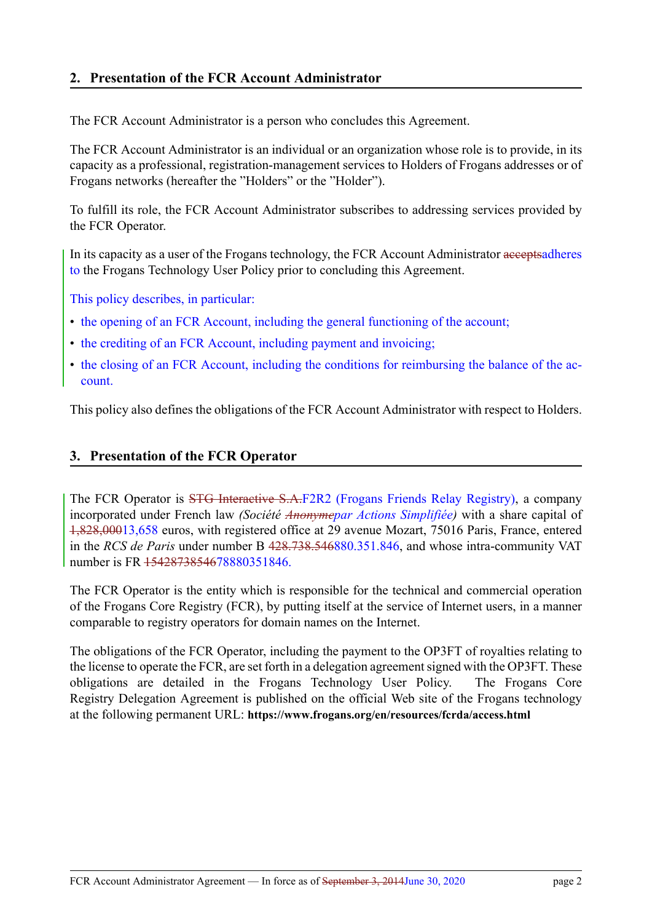<span id="page-1-0"></span>The FCR Account Administrator is a person who concludes this Agreement.

The FCR Account Administrator is an individual or an organization whose role is to provide, in its capacity as a professional, registration-management services to Holders of Frogans addresses or of Frogans networks (hereafter the "Holders" or the "Holder").

To fulfill its role, the FCR Account Administrator subscribes to addressing services provided by the FCR Operator.

In its capacity as a user of the Frogans technology, the FCR Account Administrator acceptsadheres to the Frogans Technology User Policy prior to concluding this Agreement.

This policy describes, in particular:

- the opening of an FCR Account, including the general functioning of the account;
- the crediting of an FCR Account, including payment and invoicing;
- the closing of an FCR Account, including the conditions for reimbursing the balance of the account.

This policy also defines the obligations of the FCR Account Administrator with respect to Holders.

# **3. Presentation of the FCR Operator**

<span id="page-1-1"></span>The FCR Operator is STG Interactive S.A.F2R2 (Frogans Friends Relay Registry), a company incorporated under French law *(Société Anonymepar Actions Simplifiée)* with a share capital of 1,828,00013,658 euros, with registered office at 29 avenue Mozart, 75016 Paris, France, entered in the *RCS de Paris* under number B 428.738.546880.351.846, and whose intra-community VAT number is FR 1542873854678880351846.

The FCR Operator is the entity which is responsible for the technical and commercial operation of the Frogans Core Registry (FCR), by putting itself at the service of Internet users, in a manner comparable to registry operators for domain names on the Internet.

The obligations of the FCR Operator, including the payment to the OP3FT of royalties relating to the license to operate the FCR, are set forth in a delegation agreement signed with the OP3FT. These obligations are detailed in the Frogans Technology User Policy. The Frogans Core Registry Delegation Agreement is published on the official Web site of the Frogans technology at the following permanent URL: **https://www.frogans.org/en/resources/fcrda/access.html**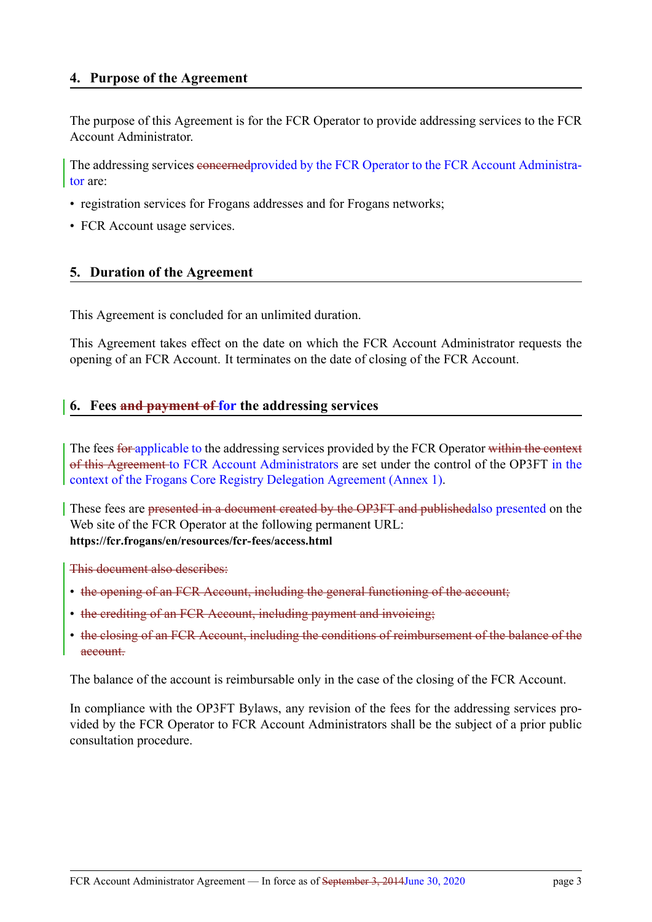<span id="page-2-0"></span>The purpose of this Agreement is for the FCR Operator to provide addressing services to the FCR Account Administrator.

The addressing services concernedprovided by the FCR Operator to the FCR Account Administrator are:

- registration services for Frogans addresses and for Frogans networks;
- FCR Account usage services.

# **5. Duration of the Agreement**

<span id="page-2-1"></span>This Agreement is concluded for an unlimited duration.

This Agreement takes effect on the date on which the FCR Account Administrator requests the opening of an FCR Account. It terminates on the date of closing of the FCR Account.

# **6. Fees and payment of for the addressing services**

<span id="page-2-2"></span>The fees for applicable to the addressing services provided by the FCR Operator within the context of this Agreement to FCR Account Administrators are set under the control of the OP3FT in the context of the Frogans Core Registry Delegation Agreement (Annex 1).

These fees are presented in a document created by the OP3FT and publishedalso presented on the Web site of the FCR Operator at the following permanent URL: **https://fcr.frogans/en/resources/fcr-fees/access.html**

This document also describes:

- the opening of an FCR Account, [including](https://fcr.frogans/en/resources/fcr-fees/access.html) the general functioning of the account;
- the crediting of an FCR Account, including payment and invoicing;
- the closing of an FCR Account, including the conditions of reimbursement of the balance of the account.

The balance of the account is reimbursable only in the case of the closing of the FCR Account.

In compliance with the OP3FT Bylaws, any revision of the fees for the addressing services provided by the FCR Operator to FCR Account Administrators shall be the subject of a prior public consultation procedure.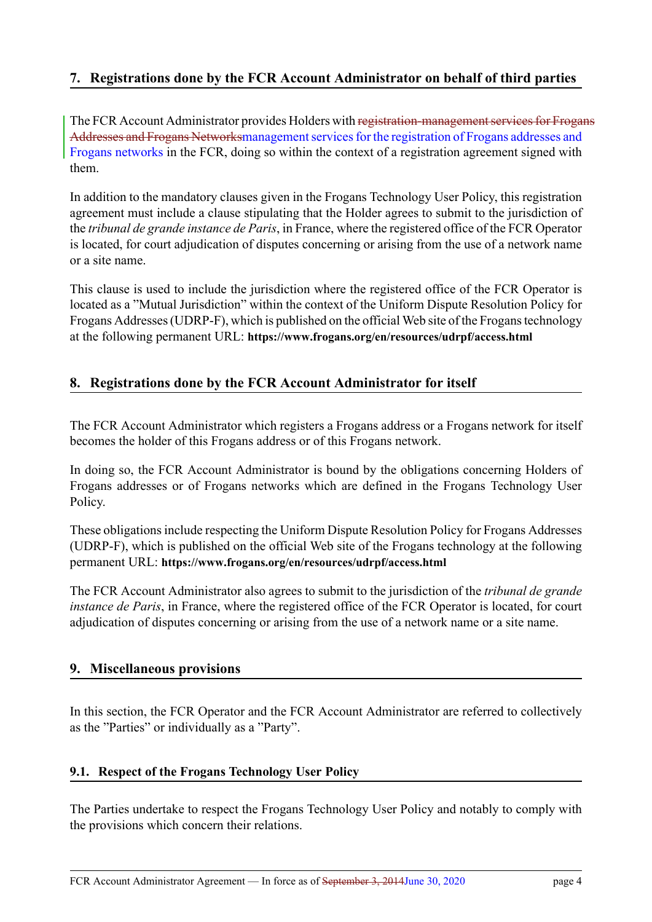# **7. Registrations done by the FCR Account Administrator on behalf of third parties**

The FCR Account Administrator provides Holders with registration-management services for Frogans Addresses and Frogans Networksmanagement services for the registration of Frogans addresses and Frogans networks in the FCR, doing so within the context of a registration agreement signed with them.

In addition to the mandatory clauses given in the Frogans Technology User Policy, this registration agreement must include a clause stipulating that the Holder agrees to submit to the jurisdiction of the *tribunal de grande instance de Paris*, in France, where the registered office of the FCR Operator is located, for court adjudication of disputes concerning or arising from the use of a network name or a site name.

This clause is used to include the jurisdiction where the registered office of the FCR Operator is located as a "Mutual Jurisdiction" within the context of the Uniform Dispute Resolution Policy for Frogans Addresses (UDRP-F), which is published on the official Web site of the Frogans technology at the following permanent URL: **https://www.frogans.org/en/resources/udrpf/access.html**

# **8. Registrations done by the [FCR Account Administrator for itself](https://www.frogans.org/en/resources/udrpf/access.html)**

The FCR Account Administrator which registers a Frogans address or a Frogans network for itself becomes the holder of this Frogans address or of this Frogans network.

In doing so, the FCR Account Administrator is bound by the obligations concerning Holders of Frogans addresses or of Frogans networks which are defined in the Frogans Technology User Policy.

These obligations include respecting the Uniform Dispute Resolution Policy for Frogans Addresses (UDRP-F), which is published on the official Web site of the Frogans technology at the following permanent URL: **https://www.frogans.org/en/resources/udrpf/access.html**

The FCR Account Administrator also agrees to submit to the jurisdiction of the *tribunal de grande instance de Paris*, in France, where the registered office of the FCR Operator is located, for court adjudication of d[isputes concerning or arising from the use of a network](https://www.frogans.org/en/resources/udrpf/access.html) name or a site name.

## **9. Miscellaneous provisions**

In this section, the FCR Operator and the FCR Account Administrator are referred to collectively as the "Parties" or individually as a "Party".

## **9.1. Respect of the Frogans Technology User Policy**

The Parties undertake to respect the Frogans Technology User Policy and notably to comply with the provisions which concern their relations.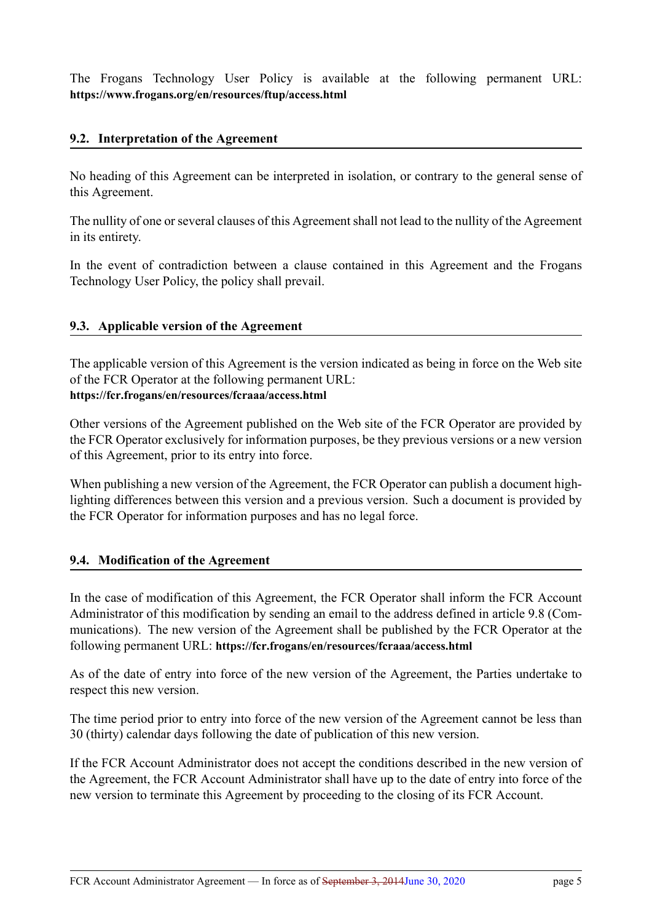The Frogans Technology User Policy is available at the following permanent URL: **https://www.frogans.org/en/resources/ftup/access.html**

## **[9.2. Interpretation of the Agreement](https://www.frogans.org/en/resources/ftup/access.html)**

No heading of this Agreement can be interpreted in isolation, or contrary to the general sense of this Agreement.

The nullity of one or several clauses of this Agreement shall not lead to the nullity of the Agreement in its entirety.

In the event of contradiction between a clause contained in this Agreement and the Frogans Technology User Policy, the policy shall prevail.

### **9.3. Applicable version of the Agreement**

The applicable version of this Agreement is the version indicated as being in force on the Web site of the FCR Operator at the following permanent URL: **https://fcr.frogans/en/resources/fcraaa/access.html**

Other versions of the Agreement published on the Web site of the FCR Operator are provided by the FCR Operator exclusively for information purposes, be they previous versions or a new version [of this Agreement, prior to its entry into force.](https://fcr.frogans/en/resources/fcraaa/access.html)

When publishing a new version of the Agreement, the FCR Operator can publish a document highlighting differences between this version and a previous version. Such a document is provided by the FCR Operator for information purposes and has no legal force.

## **9.4. Modification of the Agreement**

In the case of modification of this Agreement, the FCR Operator shall inform the FCR Account Administrator of this modification by sending an email to the address defined in article 9.8 (Communications). The new version of the Agreement shall be published by the FCR Operator at the following permanent URL: **https://fcr.frogans/en/resources/fcraaa/access.html**

As of the date of entry into force of the new version of the Agreement, the Parties undertake to respect this new version.

The time period prior to entry into force of the new version of the Agreement cannot be less than 30 (thirty) calendar days following the date of publication of this new version.

If the FCR Account Administrator does not accept the conditions described in the new version of the Agreement, the FCR Account Administrator shall have up to the date of entry into force of the new version to terminate this Agreement by proceeding to the closing of its FCR Account.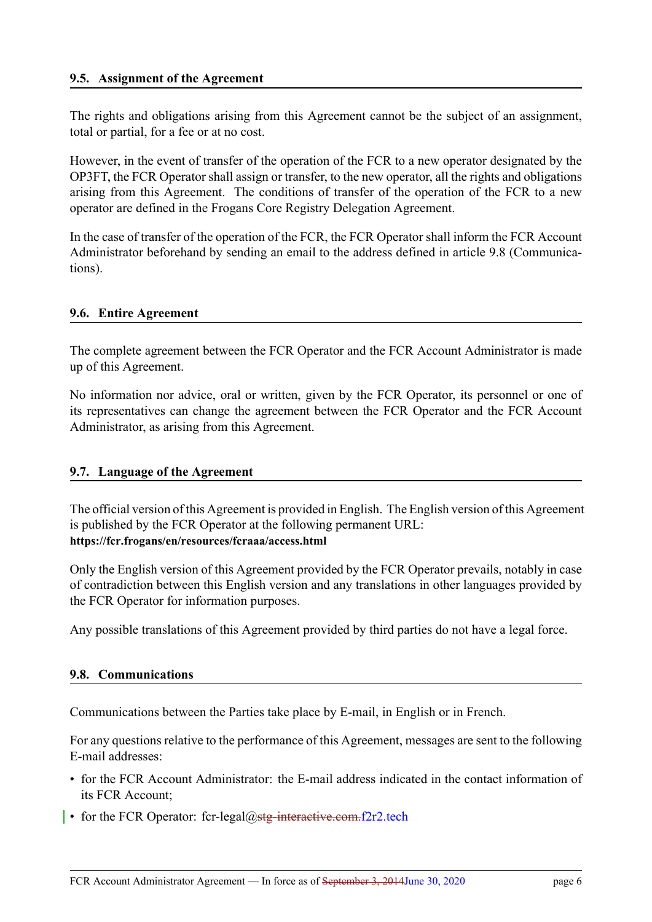The rights and obligations arising from this Agreement cannot be the subject of an assignment, total or partial, for a fee or at no cost.

However, in the event of transfer of the operation of the FCR to a new operator designated by the OP3FT, the FCR Operator shall assign or transfer, to the new operator, all the rights and obligations arising from this Agreement. The conditions of transfer of the operation of the FCR to a new operator are defined in the Frogans Core Registry Delegation Agreement.

In the case of transfer of the operation of the FCR, the FCR Operator shall inform the FCR Account Administrator beforehand by sending an email to the address defined in article 9.8 (Communications).

#### **9.6. Entire Agreement**

The complete agreement between the FCR Operator and the FCR Account Administrator is made up of this Agreement.

No information nor advice, oral or written, given by the FCR Operator, its personnel or one of its representatives can change the agreement between the FCR Operator and the FCR Account Administrator, as arising from this Agreement.

#### **9.7. Language of the Agreement**

The official version of this Agreement is provided in English. The English version of this Agreement is published by the FCR Operator at the following permanent URL: **https://fcr.frogans/en/resources/fcraaa/access.html**

Only the English version of this Agreement provided by the FCR Operator prevails, notably in case of contradiction between this English version and any translations in other languages provided by [the FCR Operator for information purposes.](https://fcr.frogans/en/resources/fcraaa/access.html)

Any possible translations of this Agreement provided by third parties do not have a legal force.

#### **9.8. Communications**

Communications between the Parties take place by E-mail, in English or in French.

For any questions relative to the performance of this Agreement, messages are sent to the following E-mail addresses:

- for the FCR Account Administrator: the E-mail address indicated in the contact information of its FCR Account;
- for the FCR Operator: fcr-legal@stg-interactive.com.f2r2.tech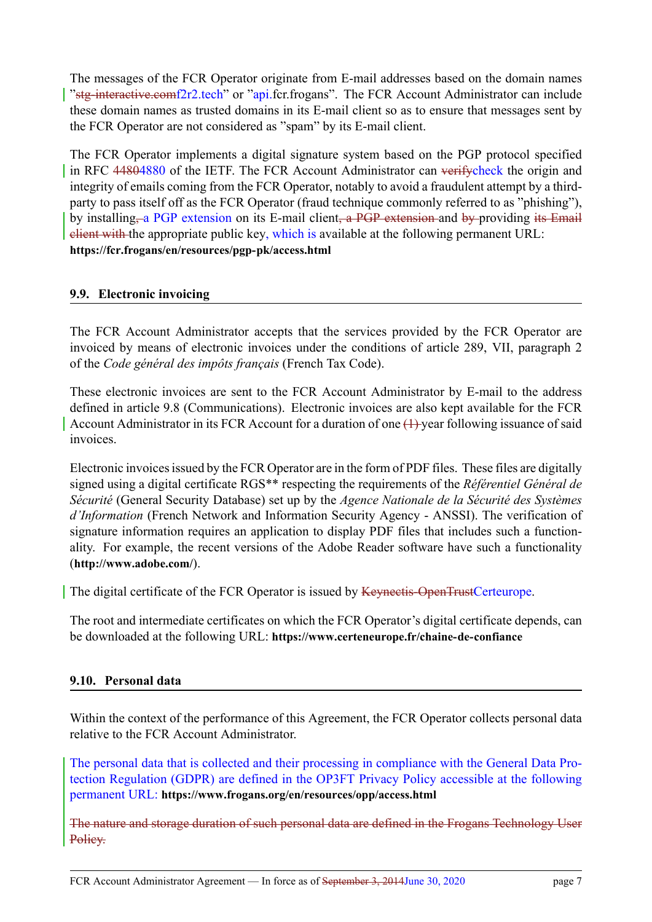The messages of the FCR Operator originate from E-mail addresses based on the domain names "stg-interactive.comf2r2.tech" or "api.fcr.frogans". The FCR Account Administrator can include these domain names as trusted domains in its E-mail client so as to ensure that messages sent by the FCR Operator are not considered as "spam" by its E-mail client.

The FCR Operator implements a digital signature system based on the PGP protocol specified in RFC 44804880 of the IETF. The FCR Account Administrator can verifycheck the origin and integrity of emails coming from the FCR Operator, notably to avoid a fraudulent attempt by a thirdparty to pass itself off as the FCR Operator (fraud technique commonly referred to as "phishing"), by installing, a PGP extension on its E-mail client, a PGP extension and by providing its Email client with the appropriate public key, which is available at the following permanent URL: **https://fcr.frogans/en/resources/pgp-pk/access.html**

## **[9.9. Electronic invoicing](https://fcr.frogans/en/resources/pgp-pk/access.html)**

The FCR Account Administrator accepts that the services provided by the FCR Operator are invoiced by means of electronic invoices under the conditions of article 289, VII, paragraph 2 of the *Code général des impôts français* (French Tax Code).

These electronic invoices are sent to the FCR Account Administrator by E-mail to the address defined in article 9.8 (Communications). Electronic invoices are also kept available for the FCR Account Administrator in its FCR Account for a duration of one (1) year following issuance of said invoices.

Electronic invoices issued by the FCR Operator are in the form of PDF files. These files are digitally signed using a digital certificate RGS\*\* respecting the requirements of the *Référentiel Général de Sécurité* (General Security Database) set up by the *Agence Nationale de la Sécurité des Systèmes d'Information* (French Network and Information Security Agency - ANSSI). The verification of signature information requires an application to display PDF files that includes such a functionality. For example, the recent versions of the Adobe Reader software have such a functionality (**http://www.adobe.com/**).

The digital certificate of the FCR Operator is issued by Keynectis-OpenTrustCerteurope.

[The root and intermedia](http://www.adobe.com/)te certificates on which the FCR Operator's digital certificate depends, can be downloaded at the following URL: **https://www.certeneurope.fr/chaine-de-confiance**

## **9.10. Personal data**

Within the context of the performance of this Agreement, the FCR Operator collects personal data relative to the FCR Account Administrator.

The personal data that is collected and their processing in compliance with the General Data Protection Regulation (GDPR) are defined in the OP3FT Privacy Policy accessible at the following permanent URL: **https://www.frogans.org/en/resources/opp/access.html**

The nature and storage duration of such personal data are defined in the Frogans Technology User Policy.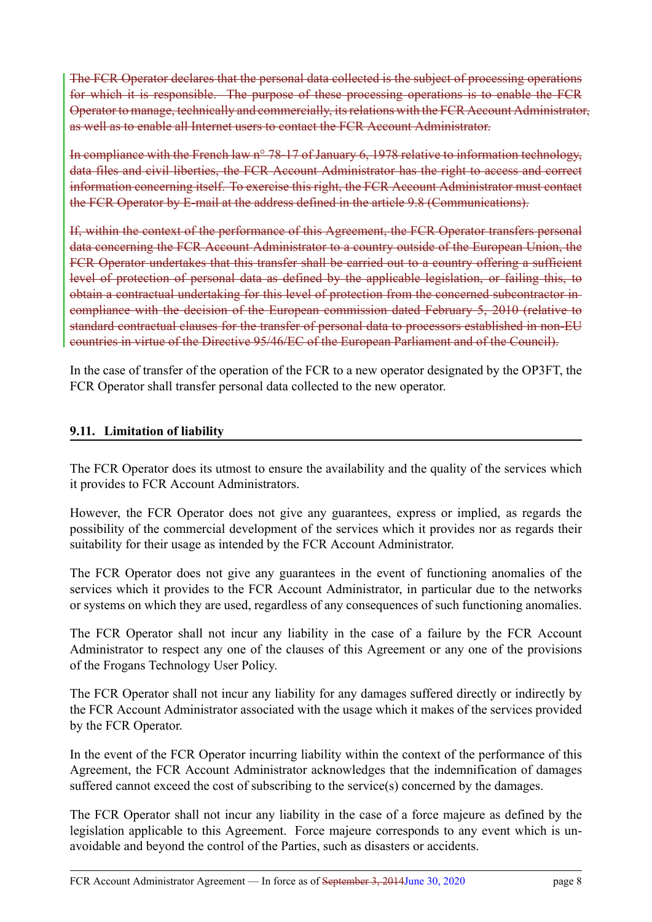The FCR Operator declares that the personal data collected is the subject of processing operations for which it is responsible. The purpose of these processing operations is to enable the FCR Operatorto manage, technically and commercially, itsrelations with the FCR Account Administrator, as well as to enable all Internet users to contact the FCR Account Administrator.

In compliance with the French law n° 78-17 of January 6, 1978 relative to information technology, data files and civil liberties, the FCR Account Administrator has the right to access and correct information concerning itself. To exercise this right, the FCR Account Administrator must contact the FCR Operator by E-mail at the address defined in the article 9.8 (Communications).

If, within the context of the performance of this Agreement, the FCR Operator transfers personal data concerning the FCR Account Administrator to a country outside of the European Union, the FCR Operator undertakes that this transfer shall be carried out to a country offering a sufficient level of protection of personal data as defined by the applicable legislation, or failing this, to obtain a contractual undertaking for this level of protection from the concerned subcontractor in compliance with the decision of the European commission dated February 5, 2010 (relative to standard contractual clauses for the transfer of personal data to processors established in non-EU countries in virtue of the Directive 95/46/EC of the European Parliament and of the Council).

In the case of transfer of the operation of the FCR to a new operator designated by the OP3FT, the FCR Operator shall transfer personal data collected to the new operator.

## **9.11. Limitation of liability**

The FCR Operator does its utmost to ensure the availability and the quality of the services which it provides to FCR Account Administrators.

However, the FCR Operator does not give any guarantees, express or implied, as regards the possibility of the commercial development of the services which it provides nor as regards their suitability for their usage as intended by the FCR Account Administrator.

The FCR Operator does not give any guarantees in the event of functioning anomalies of the services which it provides to the FCR Account Administrator, in particular due to the networks or systems on which they are used, regardless of any consequences of such functioning anomalies.

The FCR Operator shall not incur any liability in the case of a failure by the FCR Account Administrator to respect any one of the clauses of this Agreement or any one of the provisions of the Frogans Technology User Policy.

The FCR Operator shall not incur any liability for any damages suffered directly or indirectly by the FCR Account Administrator associated with the usage which it makes of the services provided by the FCR Operator.

In the event of the FCR Operator incurring liability within the context of the performance of this Agreement, the FCR Account Administrator acknowledges that the indemnification of damages suffered cannot exceed the cost of subscribing to the service(s) concerned by the damages.

The FCR Operator shall not incur any liability in the case of a force majeure as defined by the legislation applicable to this Agreement. Force majeure corresponds to any event which is unavoidable and beyond the control of the Parties, such as disasters or accidents.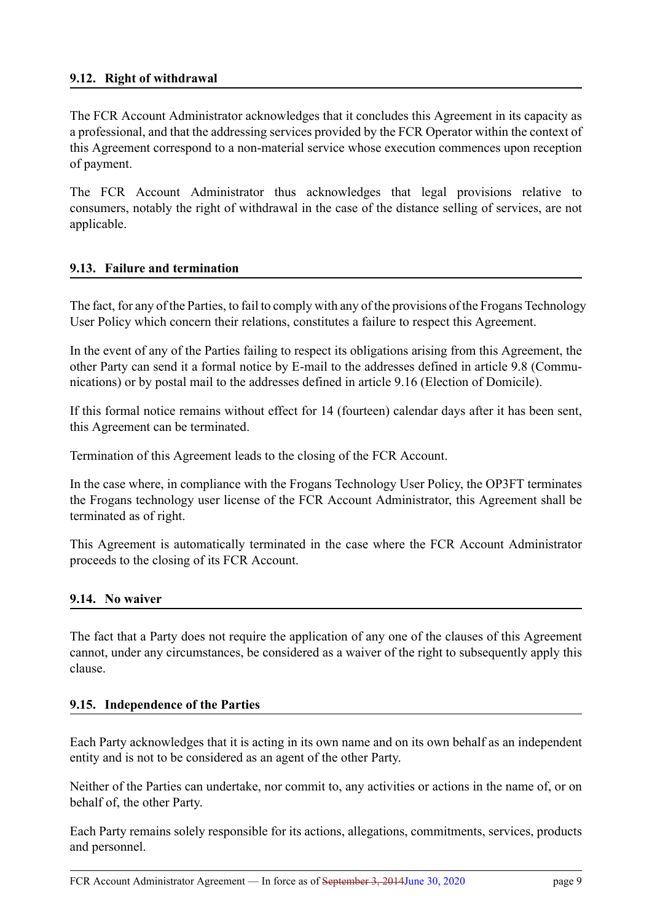## **9.12. Right of withdrawal**

The FCR Account Administrator acknowledges that it concludes this Agreement in its capacity as a professional, and that the addressing services provided by the FCR Operator within the context of this Agreement correspond to a non-material service whose execution commences upon reception of payment.

The FCR Account Administrator thus acknowledges that legal provisions relative to consumers, notably the right of withdrawal in the case of the distance selling of services, are not applicable.

## **9.13. Failure and termination**

The fact, for any of the Parties, to fail to comply with any of the provisions of the Frogans Technology User Policy which concern their relations, constitutes a failure to respect this Agreement.

In the event of any of the Parties failing to respect its obligations arising from this Agreement, the other Party can send it a formal notice by E-mail to the addresses defined in article 9.8 (Communications) or by postal mail to the addresses defined in article 9.16 (Election of Domicile).

If this formal notice remains without effect for 14 (fourteen) calendar days after it has been sent, this Agreement can be terminated.

Termination of this Agreement leads to the closing of the FCR Account.

In the case where, in compliance with the Frogans Technology User Policy, the OP3FT terminates the Frogans technology user license of the FCR Account Administrator, this Agreement shall be terminated as of right.

This Agreement is automatically terminated in the case where the FCR Account Administrator proceeds to the closing of its FCR Account.

## **9.14. No waiver**

The fact that a Party does not require the application of any one of the clauses of this Agreement cannot, under any circumstances, be considered as a waiver of the right to subsequently apply this clause.

## **9.15. Independence of the Parties**

Each Party acknowledges that it is acting in its own name and on its own behalf as an independent entity and is not to be considered as an agent of the other Party.

Neither of the Parties can undertake, nor commit to, any activities or actions in the name of, or on behalf of, the other Party.

Each Party remains solely responsible for its actions, allegations, commitments, services, products and personnel.